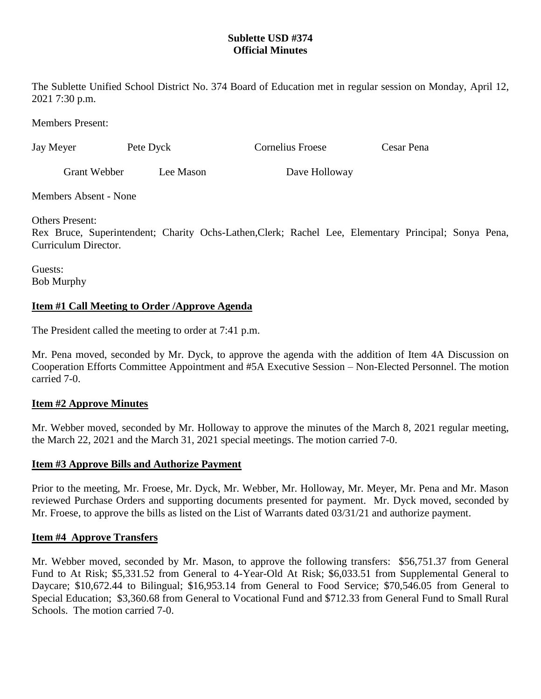# **Sublette USD #374 Official Minutes**

The Sublette Unified School District No. 374 Board of Education met in regular session on Monday, April 12, 2021 7:30 p.m.

Members Present:

| Jay Meyer    | Pete Dyck | Cornelius Froese | Cesar Pena |
|--------------|-----------|------------------|------------|
| Grant Webber | Lee Mason | Dave Holloway    |            |

Members Absent - None

Others Present:

Rex Bruce, Superintendent; Charity Ochs-Lathen,Clerk; Rachel Lee, Elementary Principal; Sonya Pena, Curriculum Director.

Guests: Bob Murphy

# **Item #1 Call Meeting to Order /Approve Agenda**

The President called the meeting to order at 7:41 p.m.

Mr. Pena moved, seconded by Mr. Dyck, to approve the agenda with the addition of Item 4A Discussion on Cooperation Efforts Committee Appointment and #5A Executive Session – Non-Elected Personnel. The motion carried 7-0.

# **Item #2 Approve Minutes**

Mr. Webber moved, seconded by Mr. Holloway to approve the minutes of the March 8, 2021 regular meeting, the March 22, 2021 and the March 31, 2021 special meetings. The motion carried 7-0.

## **Item #3 Approve Bills and Authorize Payment**

Prior to the meeting, Mr. Froese, Mr. Dyck, Mr. Webber, Mr. Holloway, Mr. Meyer, Mr. Pena and Mr. Mason reviewed Purchase Orders and supporting documents presented for payment. Mr. Dyck moved, seconded by Mr. Froese, to approve the bills as listed on the List of Warrants dated 03/31/21 and authorize payment.

## **Item #4 Approve Transfers**

Mr. Webber moved, seconded by Mr. Mason, to approve the following transfers: \$56,751.37 from General Fund to At Risk; \$5,331.52 from General to 4-Year-Old At Risk; \$6,033.51 from Supplemental General to Daycare; \$10,672.44 to Bilingual; \$16,953.14 from General to Food Service; \$70,546.05 from General to Special Education; \$3,360.68 from General to Vocational Fund and \$712.33 from General Fund to Small Rural Schools. The motion carried 7-0.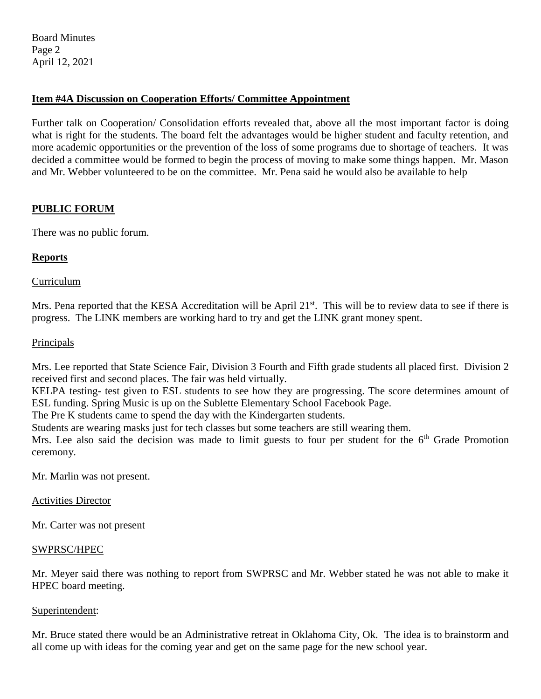Board Minutes Page 2 April 12, 2021

# **Item #4A Discussion on Cooperation Efforts/ Committee Appointment**

Further talk on Cooperation/ Consolidation efforts revealed that, above all the most important factor is doing what is right for the students. The board felt the advantages would be higher student and faculty retention, and more academic opportunities or the prevention of the loss of some programs due to shortage of teachers. It was decided a committee would be formed to begin the process of moving to make some things happen. Mr. Mason and Mr. Webber volunteered to be on the committee. Mr. Pena said he would also be available to help

# **PUBLIC FORUM**

There was no public forum.

# **Reports**

## Curriculum

Mrs. Pena reported that the KESA Accreditation will be April 21<sup>st</sup>. This will be to review data to see if there is progress. The LINK members are working hard to try and get the LINK grant money spent.

## Principals

Mrs. Lee reported that State Science Fair, Division 3 Fourth and Fifth grade students all placed first. Division 2 received first and second places. The fair was held virtually.

KELPA testing- test given to ESL students to see how they are progressing. The score determines amount of ESL funding. Spring Music is up on the Sublette Elementary School Facebook Page.

The Pre K students came to spend the day with the Kindergarten students.

Students are wearing masks just for tech classes but some teachers are still wearing them.

Mrs. Lee also said the decision was made to limit guests to four per student for the 6<sup>th</sup> Grade Promotion ceremony.

Mr. Marlin was not present.

## Activities Director

Mr. Carter was not present

## SWPRSC/HPEC

Mr. Meyer said there was nothing to report from SWPRSC and Mr. Webber stated he was not able to make it HPEC board meeting.

## Superintendent:

Mr. Bruce stated there would be an Administrative retreat in Oklahoma City, Ok. The idea is to brainstorm and all come up with ideas for the coming year and get on the same page for the new school year.